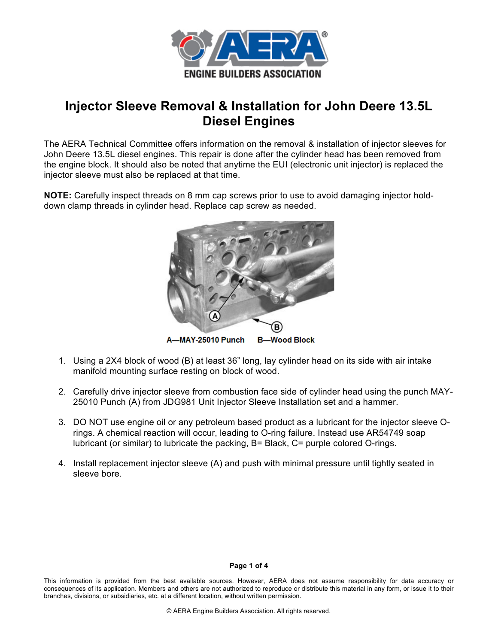

# **Injector Sleeve Removal & Installation for John Deere 13.5L Diesel Engines**

The AERA Technical Committee offers information on the removal & installation of injector sleeves for John Deere 13.5L diesel engines. This repair is done after the cylinder head has been removed from the engine block. It should also be noted that anytime the EUI (electronic unit injector) is replaced the injector sleeve must also be replaced at that time.

**NOTE:** Carefully inspect threads on 8 mm cap screws prior to use to avoid damaging injector holddown clamp threads in cylinder head. Replace cap screw as needed.



- 1. Using a 2X4 block of wood (B) at least 36" long, lay cylinder head on its side with air intake manifold mounting surface resting on block of wood.
- 2. Carefully drive injector sleeve from combustion face side of cylinder head using the punch MAY-25010 Punch (A) from JDG981 Unit Injector Sleeve Installation set and a hammer.
- 3. DO NOT use engine oil or any petroleum based product as a lubricant for the injector sleeve Orings. A chemical reaction will occur, leading to O-ring failure. Instead use AR54749 soap lubricant (or similar) to lubricate the packing, B= Black, C= purple colored O-rings.
- 4. Install replacement injector sleeve (A) and push with minimal pressure until tightly seated in sleeve bore.

#### **Page 1 of 4**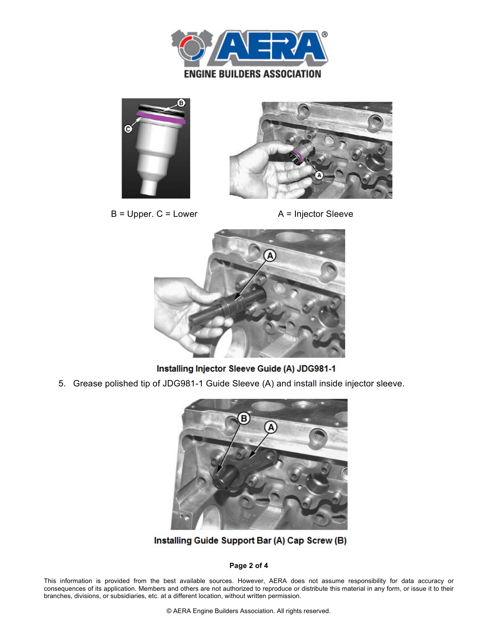





 $B = Upper. C = Lower$   $A = Injector Sleeve$ 



Installing Injector Sleeve Guide (A) JDG981-1

5. Grease polished tip of JDG981-1 Guide Sleeve (A) and install inside injector sleeve.



Installing Guide Support Bar (A) Cap Screw (B)

# **Page 2 of 4**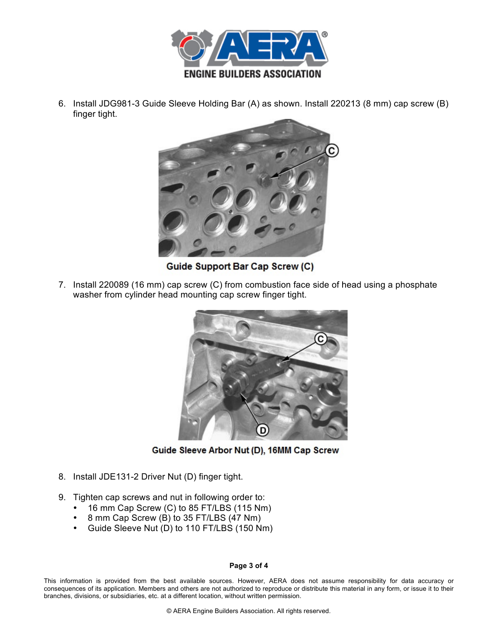

6. Install JDG981-3 Guide Sleeve Holding Bar (A) as shown. Install 220213 (8 mm) cap screw (B) finger tight.



Guide Support Bar Cap Screw (C)

7. Install 220089 (16 mm) cap screw (C) from combustion face side of head using a phosphate washer from cylinder head mounting cap screw finger tight.



Guide Sleeve Arbor Nut (D), 16MM Cap Screw

- 8. Install JDE131-2 Driver Nut (D) finger tight.
- 9. Tighten cap screws and nut in following order to:
	- 16 mm Cap Screw (C) to 85 FT/LBS (115 Nm)
	- 8 mm Cap Screw (B) to 35 FT/LBS (47 Nm)
	- Guide Sleeve Nut (D) to 110 FT/LBS (150 Nm)

## **Page 3 of 4**